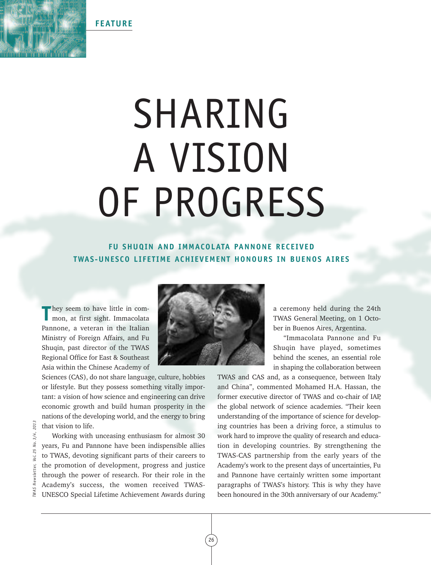**FEATURE**

## SHARING A VISION OF PROGRESS

## **FU SHUQIN AND IMMACOLATA PANNONE RECEIVED TWAS-UNESCO LIFET IME ACHIEVEMENT HONOURS IN BUENOS AIRES**

**T** hey seem to have little in com-mon, at first sight. Immacolata Pannone, a veteran in the Italian Ministry of Foreign Affairs, and Fu Shuqin, past director of the TWAS Regional Office for East & Southeast Asia within the Chinese Academy of

Sciences (CAS), do not share language, culture, hobbies or lifestyle. But they possess something vitally important: a vision of how science and engineering can drive economic growth and build human prosperity in the nations of the developing world, and the energy to bring that vision to life.

Working with unceasing enthusiasm for almost 30 years, Fu and Pannone have been indispensible allies to TWAS, devoting significant parts of their careers to the promotion of development, progress and justice through the power of research. For their role in the Academy's success, the women received TWAS-UNESCO Special Lifetime Achievement Awards during



a ceremony held during the 24th TWAS General Meeting, on 1 October in Buenos Aires, Argentina.

"Immacolata Pannone and Fu Shuqin have played, sometimes behind the scenes, an essential role in shaping the collaboration between

TWAS and CAS and, as a consequence, between Italy and China", commented Mohamed H.A. Hassan, the former executive director of TWAS and co-chair of IAP, the global network of science academies. "Their keen understanding of the importance of science for developing countries has been a driving force, a stimulus to work hard to improve the quality of research and education in developing countries. By strengthening the TWAS-CAS partnership from the early years of the Academy's work to the present days of uncertainties, Fu and Pannone have certainly written some important paragraphs of TWAS's history. This is why they have been a driving force, a stimulus to Working with unceasing enthusiasm for almost 30 work hard to improve the quality of research and educa-<br>
years, Fu and Pannone have been indispensible allies tion in developing countries

26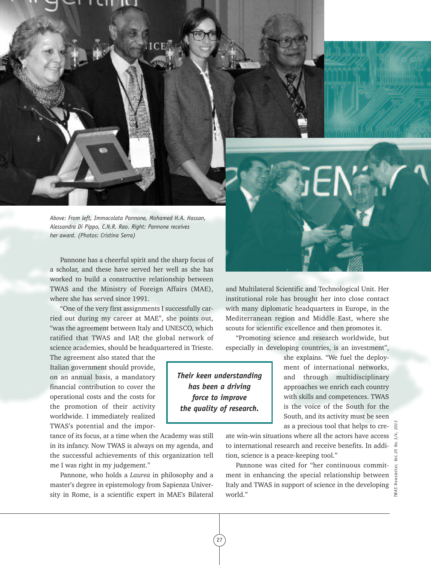*Above: From left, Immacolata Pannone, Mohamed H.A. Hassan, Alessandra Di Pippo, C.N.R. Rao. Right: Pannone receives her award. (Photos: Cristina Serra)*

Pannone has a cheerful spirit and the sharp focus of a scholar, and these have served her well as she has worked to build a constructive relationship between TWAS and the Ministry of Foreign Affairs (MAE), where she has served since 1991.

"One of the very first assignments I successfully carried out during my career at MAE", she points out, "was the agreement between Italy and UNESCO, which ratified that TWAS and IAP, the global network of science academies, should be headquartered in Trieste.

The agreement also stated that the Italian government should provide, on an annual basis, a mandatory financial contribution to cover the operational costs and the costs for the promotion of their activity worldwide. I immediately realized TWAS's potential and the impor-

tance of its focus, at a time when the Academy was still in its infancy. Now TWAS is always on my agenda, and the successful achievements of this organization tell me I was right in my judgement."

Pannone, who holds a *Laurea* in philosophy and a master's degree in epistemology from Sapienza University in Rome, is a scientific expert in MAE's Bilateral and Multilateral Scientific and Technological Unit. Her institutional role has brought her into close contact with many diplomatic headquarters in Europe, in the Mediterranean region and Middle East, where she scouts for scientific excellence and then promotes it.

"Promoting science and research worldwide, but especially in developing countries, is an investment",

*Their keen understanding has been a driving force to improve the quality of research.*

27

she explains. "We fuel the deployment of international networks, and through multidisciplinary approaches we enrich each country with skills and competences. TWAS is the voice of the South for the South, and its activity must be seen as a precious tool that helps to cre-

ate win-win situations where all the actors have access to international research and receive benefits. In addition, science is a peace-keeping tool."

Pannone was cited for "her continuous commitment in enhancing the special relationship between Italy and TWAS in support of science in the developing world."